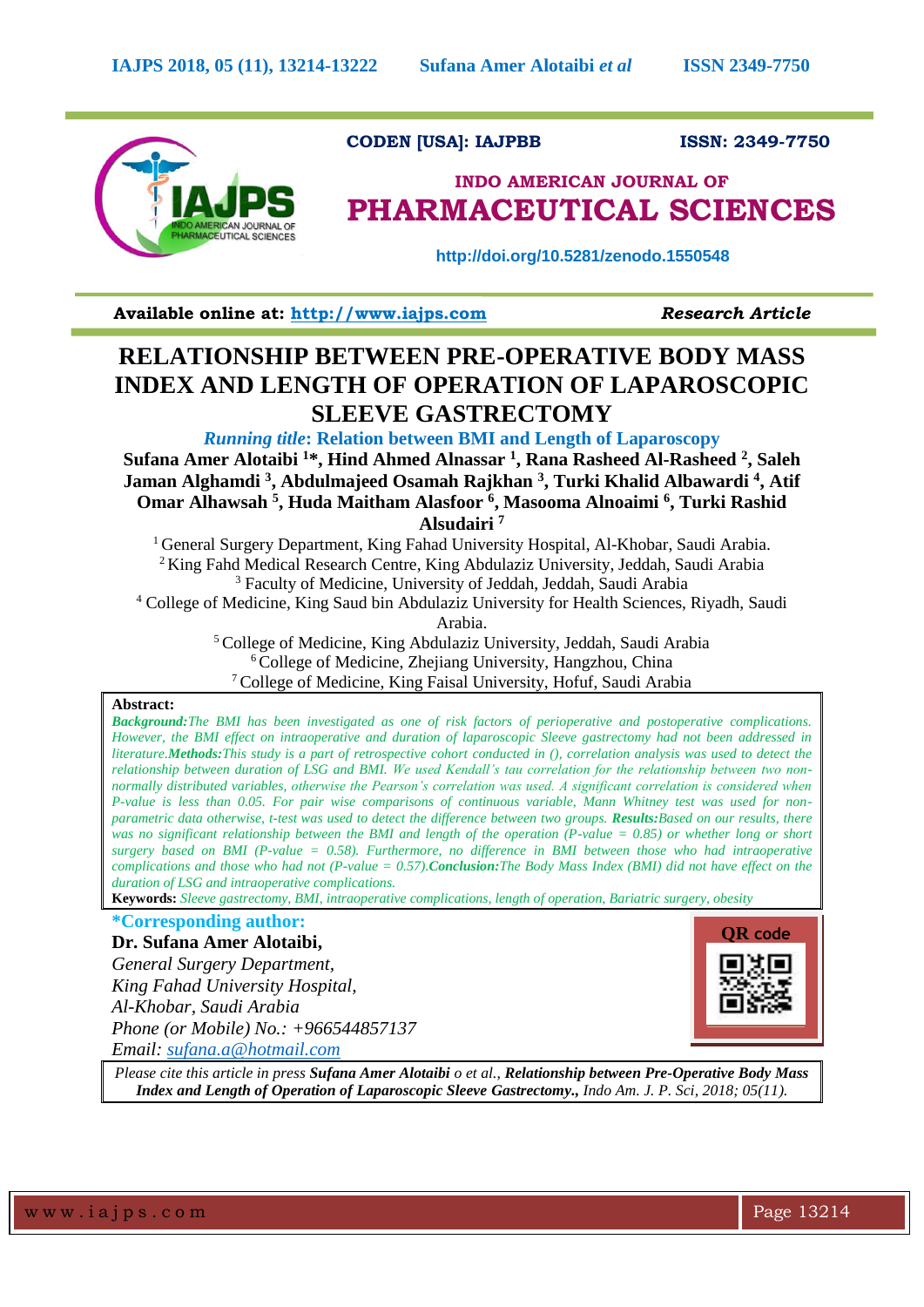

**CODEN [USA]: IAJPBB ISSN: 2349-7750** 

# **INDO AMERICAN JOURNAL OF PHARMACEUTICAL SCIENCES**

 **http://doi.org/10.5281/zenodo.1550548**

**Available online at: [http://www.iajps.com](http://www.iajps.com/)** *Research Article*

## **RELATIONSHIP BETWEEN PRE-OPERATIVE BODY MASS INDEX AND LENGTH OF OPERATION OF LAPAROSCOPIC SLEEVE GASTRECTOMY**

*Running title***: Relation between BMI and Length of Laparoscopy**

**Sufana Amer Alotaibi <sup>1</sup>\*, Hind Ahmed Alnassar <sup>1</sup> , Rana Rasheed Al-Rasheed <sup>2</sup> , Saleh Jaman Alghamdi <sup>3</sup> , Abdulmajeed Osamah Rajkhan <sup>3</sup> , Turki Khalid Albawardi <sup>4</sup> , Atif Omar Alhawsah <sup>5</sup> , Huda Maitham Alasfoor <sup>6</sup> , Masooma Alnoaimi <sup>6</sup> , Turki Rashid Alsudairi <sup>7</sup>**

General Surgery Department, King Fahad University Hospital, Al-Khobar, Saudi Arabia. King Fahd Medical Research Centre, King Abdulaziz University, Jeddah, Saudi Arabia Faculty of Medicine, University of Jeddah, Jeddah, Saudi Arabia College of Medicine, King Saud bin Abdulaziz University for Health Sciences, Riyadh, Saudi

Arabia.

<sup>5</sup>College of Medicine, King Abdulaziz University, Jeddah, Saudi Arabia <sup>6</sup>College of Medicine, Zhejiang University, Hangzhou, China <sup>7</sup>College of Medicine, King Faisal University, Hofuf, Saudi Arabia

## **Abstract:**

*Background:The BMI has been investigated as one of risk factors of perioperative and postoperative complications. However, the BMI effect on intraoperative and duration of laparoscopic Sleeve gastrectomy had not been addressed in literature.Methods:This study is a part of retrospective cohort conducted in (), correlation analysis was used to detect the relationship between duration of LSG and BMI. We used Kendall's tau correlation for the relationship between two nonnormally distributed variables, otherwise the Pearson's correlation was used. A significant correlation is considered when P-value is less than 0.05. For pair wise comparisons of continuous variable, Mann Whitney test was used for nonparametric data otherwise, t-test was used to detect the difference between two groups. Results:Based on our results, there was no significant relationship between the BMI and length of the operation (P-value = 0.85) or whether long or short surgery based on BMI (P-value = 0.58). Furthermore, no difference in BMI between those who had intraoperative complications and those who had not (P-value = 0.57).Conclusion:The Body Mass Index (BMI) did not have effect on the duration of LSG and intraoperative complications.*

**Keywords:** *Sleeve gastrectomy, BMI, intraoperative complications, length of operation, Bariatric surgery, obesity*

## **\*Corresponding author:**

**Dr. Sufana Amer Alotaibi,**

*General Surgery Department, King Fahad University Hospital, Al-Khobar, Saudi Arabia Phone (or Mobile) No.: +966544857137 Email: [sufana.a@hotmail.com](mailto:sufana.a@hotmail.com)*



*Please cite this article in press Sufana Amer Alotaibi o et al., Relationship between Pre-Operative Body Mass Index and Length of Operation of Laparoscopic Sleeve Gastrectomy., Indo Am. J. P. Sci, 2018; 05(11).*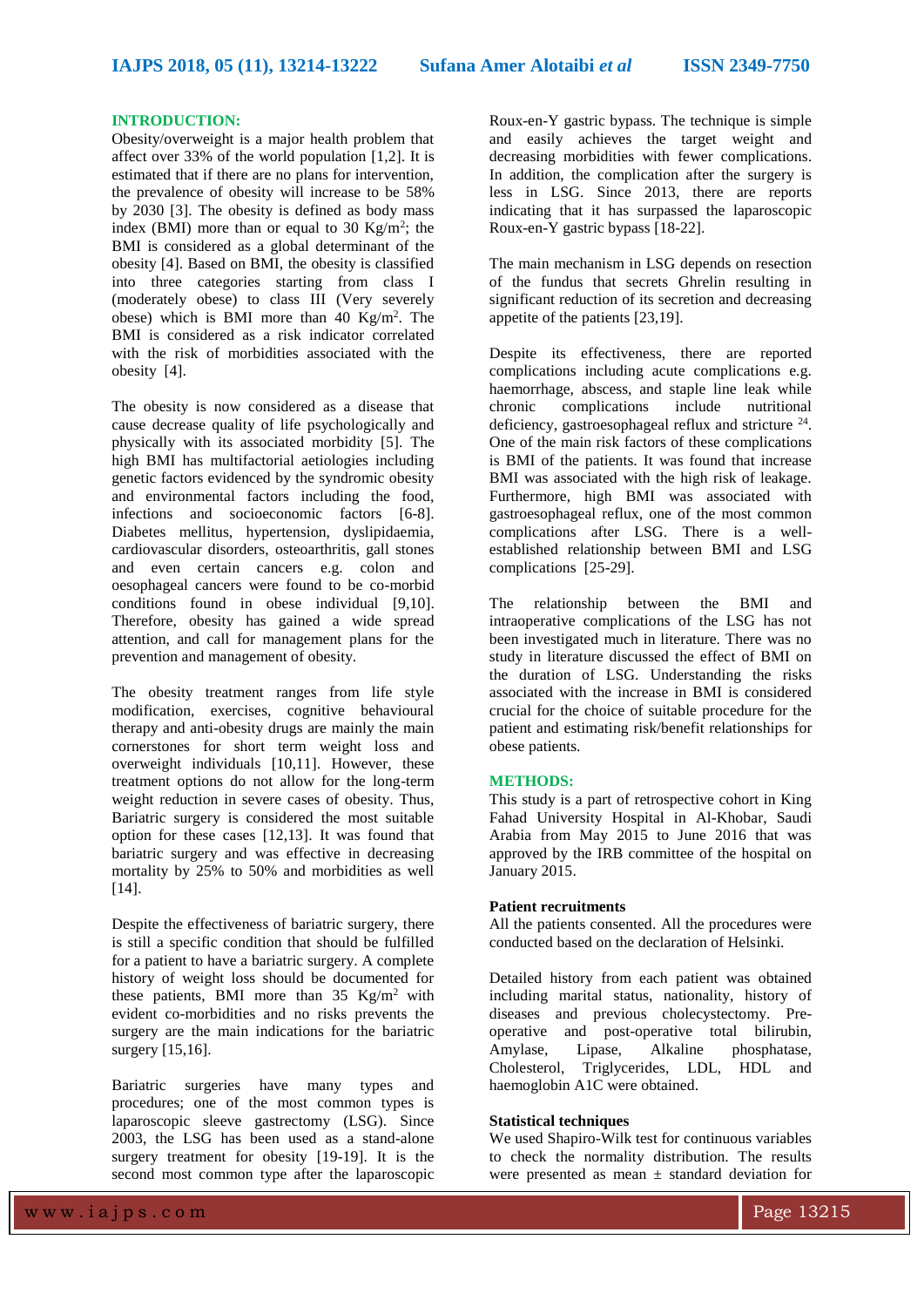## **INTRODUCTION:**

Obesity/overweight is a major health problem that affect over 33% of the world population [1,2]. It is estimated that if there are no plans for intervention, the prevalence of obesity will increase to be 58% by 2030 [3]. The obesity is defined as body mass index (BMI) more than or equal to 30 Kg/m<sup>2</sup>; the BMI is considered as a global determinant of the obesity [4]. Based on BMI, the obesity is classified into three categories starting from class I (moderately obese) to class III (Very severely obese) which is BMI more than 40  $\text{Kg/m}^2$ . The BMI is considered as a risk indicator correlated with the risk of morbidities associated with the obesity [4].

The obesity is now considered as a disease that cause decrease quality of life psychologically and physically with its associated morbidity [5]. The high BMI has multifactorial aetiologies including genetic factors evidenced by the syndromic obesity and environmental factors including the food, infections and socioeconomic factors [6-8]. Diabetes mellitus, hypertension, dyslipidaemia, cardiovascular disorders, osteoarthritis, gall stones and even certain cancers e.g. colon and oesophageal cancers were found to be co-morbid conditions found in obese individual [9,10]. Therefore, obesity has gained a wide spread attention, and call for management plans for the prevention and management of obesity.

The obesity treatment ranges from life style modification, exercises, cognitive behavioural therapy and anti-obesity drugs are mainly the main cornerstones for short term weight loss and overweight individuals [10,11]. However, these treatment options do not allow for the long-term weight reduction in severe cases of obesity. Thus, Bariatric surgery is considered the most suitable option for these cases [12,13]. It was found that bariatric surgery and was effective in decreasing mortality by 25% to 50% and morbidities as well [14].

Despite the effectiveness of bariatric surgery, there is still a specific condition that should be fulfilled for a patient to have a bariatric surgery. A complete history of weight loss should be documented for these patients, BMI more than  $35 \text{ Kg/m}^2$  with evident co-morbidities and no risks prevents the surgery are the main indications for the bariatric surgery [15,16].

Bariatric surgeries have many types and procedures; one of the most common types is laparoscopic sleeve gastrectomy (LSG). Since 2003, the LSG has been used as a stand-alone surgery treatment for obesity [19-19]. It is the second most common type after the laparoscopic

Roux-en-Y gastric bypass. The technique is simple and easily achieves the target weight and decreasing morbidities with fewer complications. In addition, the complication after the surgery is less in LSG. Since 2013, there are reports indicating that it has surpassed the laparoscopic Roux-en-Y gastric bypass [18-22].

The main mechanism in LSG depends on resection of the fundus that secrets Ghrelin resulting in significant reduction of its secretion and decreasing appetite of the patients [23,19].

Despite its effectiveness, there are reported complications including acute complications e.g. haemorrhage, abscess, and staple line leak while chronic complications include nutritional deficiency, gastroesophageal reflux and stricture  $24$ . One of the main risk factors of these complications is BMI of the patients. It was found that increase BMI was associated with the high risk of leakage. Furthermore, high BMI was associated with gastroesophageal reflux, one of the most common complications after LSG. There is a wellestablished relationship between BMI and LSG complications [25-29].

The relationship between the BMI and intraoperative complications of the LSG has not been investigated much in literature. There was no study in literature discussed the effect of BMI on the duration of LSG. Understanding the risks associated with the increase in BMI is considered crucial for the choice of suitable procedure for the patient and estimating risk/benefit relationships for obese patients.

### **METHODS:**

This study is a part of retrospective cohort in King Fahad University Hospital in Al-Khobar, Saudi Arabia from May 2015 to June 2016 that was approved by the IRB committee of the hospital on January 2015.

## **Patient recruitments**

All the patients consented. All the procedures were conducted based on the declaration of Helsinki.

Detailed history from each patient was obtained including marital status, nationality, history of diseases and previous cholecystectomy. Preoperative and post-operative total bilirubin, Amylase, Lipase, Alkaline phosphatase, Cholesterol, Triglycerides, LDL, HDL and haemoglobin A1C were obtained.

## **Statistical techniques**

We used Shapiro-Wilk test for continuous variables to check the normality distribution. The results were presented as mean  $\pm$  standard deviation for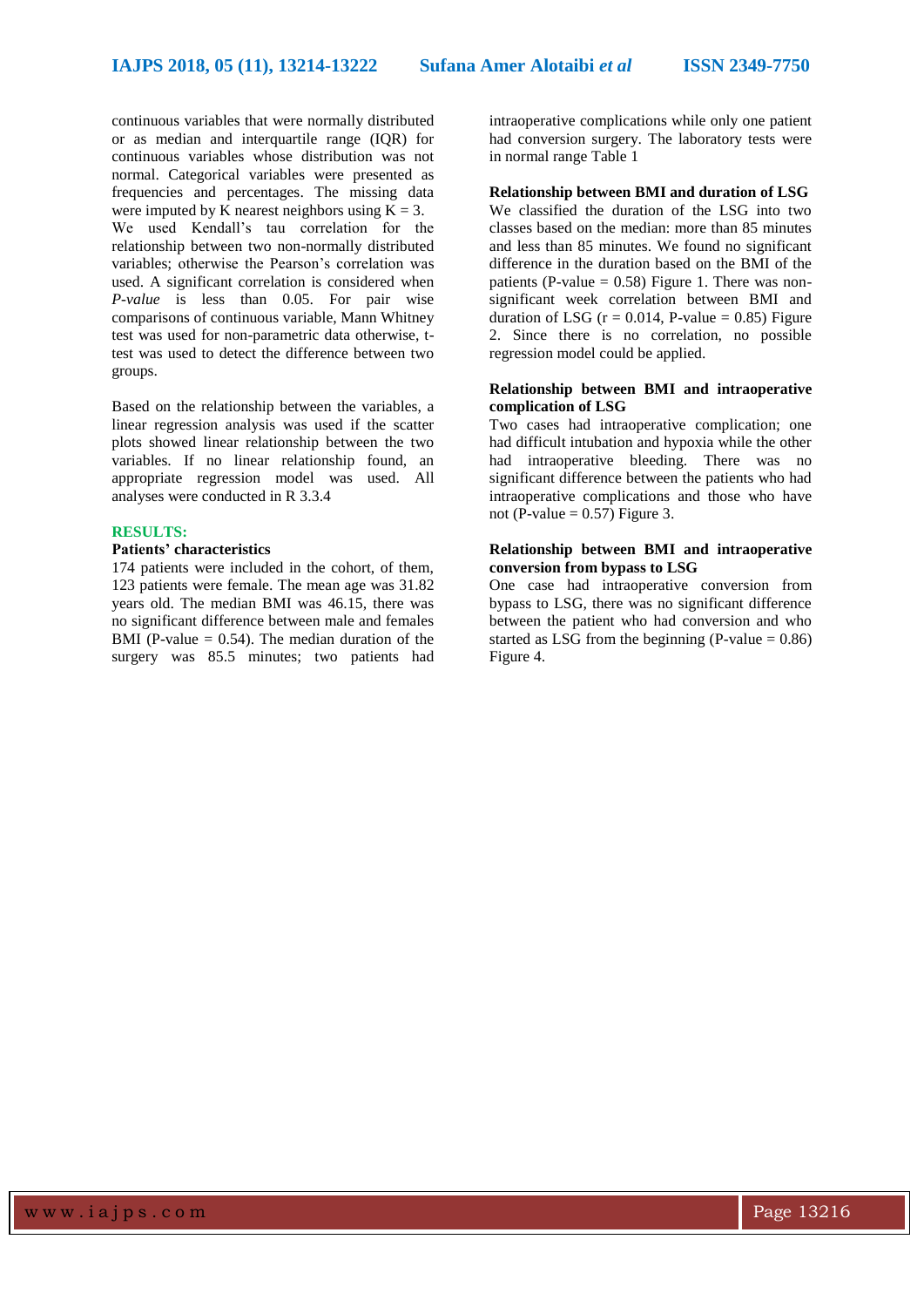continuous variables that were normally distributed or as median and interquartile range (IQR) for continuous variables whose distribution was not normal. Categorical variables were presented as frequencies and percentages. The missing data were imputed by K nearest neighbors using  $K = 3$ . We used Kendall's tau correlation for the relationship between two non-normally distributed variables; otherwise the Pearson's correlation was used. A significant correlation is considered when *P-value* is less than 0.05. For pair wise comparisons of continuous variable, Mann Whitney test was used for non-parametric data otherwise, ttest was used to detect the difference between two groups.

Based on the relationship between the variables, a linear regression analysis was used if the scatter plots showed linear relationship between the two variables. If no linear relationship found, an appropriate regression model was used. All analyses were conducted in R 3.3.4

#### **RESULTS:**

## **Patients' characteristics**

174 patients were included in the cohort, of them, 123 patients were female. The mean age was 31.82 years old. The median BMI was 46.15, there was no significant difference between male and females BMI (P-value  $= 0.54$ ). The median duration of the surgery was 85.5 minutes; two patients had

intraoperative complications while only one patient had conversion surgery. The laboratory tests were in normal range Table 1

**Relationship between BMI and duration of LSG** We classified the duration of the LSG into two classes based on the median: more than 85 minutes and less than 85 minutes. We found no significant difference in the duration based on the BMI of the patients (P-value  $= 0.58$ ) Figure 1. There was nonsignificant week correlation between BMI and duration of LSG ( $r = 0.014$ , P-value = 0.85) Figure 2. Since there is no correlation, no possible regression model could be applied.

## **Relationship between BMI and intraoperative complication of LSG**

Two cases had intraoperative complication; one had difficult intubation and hypoxia while the other had intraoperative bleeding. There was no significant difference between the patients who had intraoperative complications and those who have not (P-value  $= 0.57$ ) Figure 3.

## **Relationship between BMI and intraoperative conversion from bypass to LSG**

One case had intraoperative conversion from bypass to LSG, there was no significant difference between the patient who had conversion and who started as LSG from the beginning (P-value  $= 0.86$ ) Figure 4.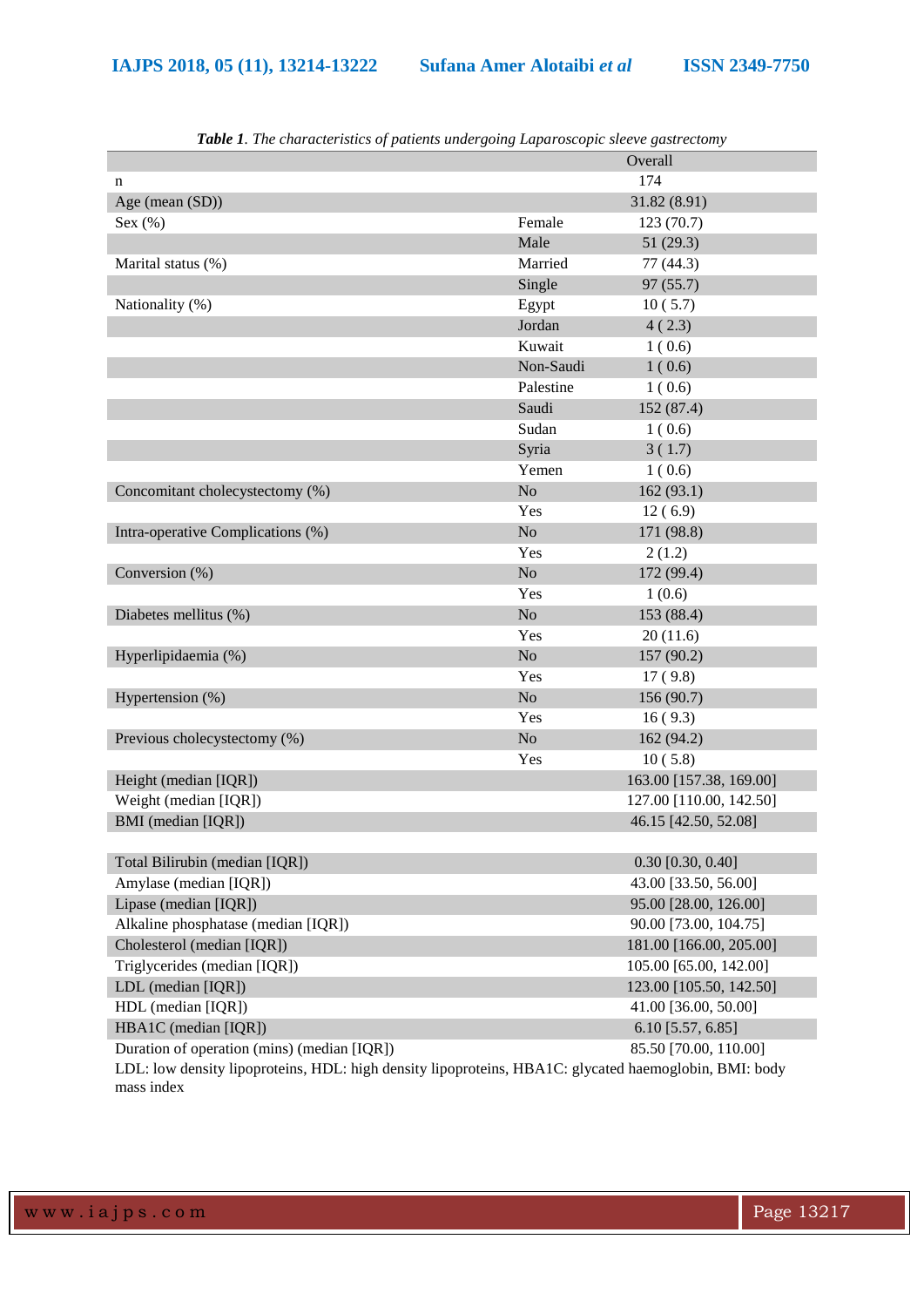|                                                                                                       | $\ldots$ $\ldots$ $\ldots$ $\ldots$ $\ldots$ $\ldots$ $\ldots$ $\ldots$ | Overall                 |
|-------------------------------------------------------------------------------------------------------|-------------------------------------------------------------------------|-------------------------|
|                                                                                                       |                                                                         | 174                     |
| n<br>Age (mean (SD))                                                                                  |                                                                         | 31.82(8.91)             |
| Sex $(\%)$                                                                                            | Female                                                                  | 123(70.7)               |
|                                                                                                       | Male                                                                    | 51(29.3)                |
| Marital status (%)                                                                                    | Married                                                                 | 77 (44.3)               |
|                                                                                                       | Single                                                                  | 97 (55.7)               |
| Nationality (%)                                                                                       | Egypt                                                                   |                         |
|                                                                                                       | Jordan                                                                  | 10(5.7)<br>4(2.3)       |
|                                                                                                       | Kuwait                                                                  | 1(0.6)                  |
|                                                                                                       | Non-Saudi                                                               | 1(0.6)                  |
|                                                                                                       | Palestine                                                               |                         |
|                                                                                                       | Saudi                                                                   | 1(0.6)                  |
|                                                                                                       |                                                                         | 152 (87.4)              |
|                                                                                                       | Sudan                                                                   | 1(0.6)                  |
|                                                                                                       | Syria                                                                   | 3(1.7)                  |
|                                                                                                       | Yemen                                                                   | 1(0.6)                  |
| Concomitant cholecystectomy (%)                                                                       | N <sub>o</sub>                                                          | 162(93.1)               |
|                                                                                                       | Yes                                                                     | 12(6.9)                 |
| Intra-operative Complications (%)                                                                     | $\rm No$                                                                | 171 (98.8)              |
|                                                                                                       | Yes                                                                     | 2(1.2)                  |
| Conversion (%)                                                                                        | $\rm No$                                                                | 172 (99.4)              |
|                                                                                                       | Yes                                                                     | 1(0.6)                  |
| Diabetes mellitus (%)                                                                                 | $\rm No$                                                                | 153 (88.4)              |
|                                                                                                       | Yes                                                                     | 20(11.6)                |
| Hyperlipidaemia (%)                                                                                   | N <sub>o</sub>                                                          | 157 (90.2)              |
|                                                                                                       | Yes                                                                     | 17(9.8)                 |
| Hypertension (%)                                                                                      | $\rm No$                                                                | 156 (90.7)              |
|                                                                                                       | Yes                                                                     | 16(9.3)                 |
| Previous cholecystectomy (%)                                                                          | $\rm No$                                                                | 162 (94.2)              |
|                                                                                                       | Yes                                                                     | 10(5.8)                 |
| Height (median [IQR])                                                                                 |                                                                         | 163.00 [157.38, 169.00] |
| Weight (median [IQR])                                                                                 |                                                                         | 127.00 [110.00, 142.50] |
| BMI (median [IQR])                                                                                    |                                                                         | 46.15 [42.50, 52.08]    |
|                                                                                                       |                                                                         |                         |
| Total Bilirubin (median [IQR])                                                                        |                                                                         | $0.30$ [0.30, 0.40]     |
| Amylase (median [IQR])                                                                                |                                                                         | 43.00 [33.50, 56.00]    |
| Lipase (median [IQR])                                                                                 |                                                                         | 95.00 [28.00, 126.00]   |
| Alkaline phosphatase (median [IQR])                                                                   |                                                                         | 90.00 [73.00, 104.75]   |
| Cholesterol (median [IQR])                                                                            |                                                                         | 181.00 [166.00, 205.00] |
| Triglycerides (median [IQR])                                                                          |                                                                         | 105.00 [65.00, 142.00]  |
| LDL (median [IQR])                                                                                    |                                                                         | 123.00 [105.50, 142.50] |
| HDL (median [IQR])                                                                                    |                                                                         | 41.00 [36.00, 50.00]    |
| HBA1C (median [IQR])                                                                                  |                                                                         | 6.10 [5.57, 6.85]       |
| Duration of operation (mins) (median [IQR])                                                           |                                                                         | 85.50 [70.00, 110.00]   |
| LDL: low density lipoproteins, HDL: high density lipoproteins, HBA1C: glycated haemoglobin, BMI: body |                                                                         |                         |
| mass index                                                                                            |                                                                         |                         |

*Table 1. The characteristics of patients undergoing Laparoscopic sleeve gastrectomy*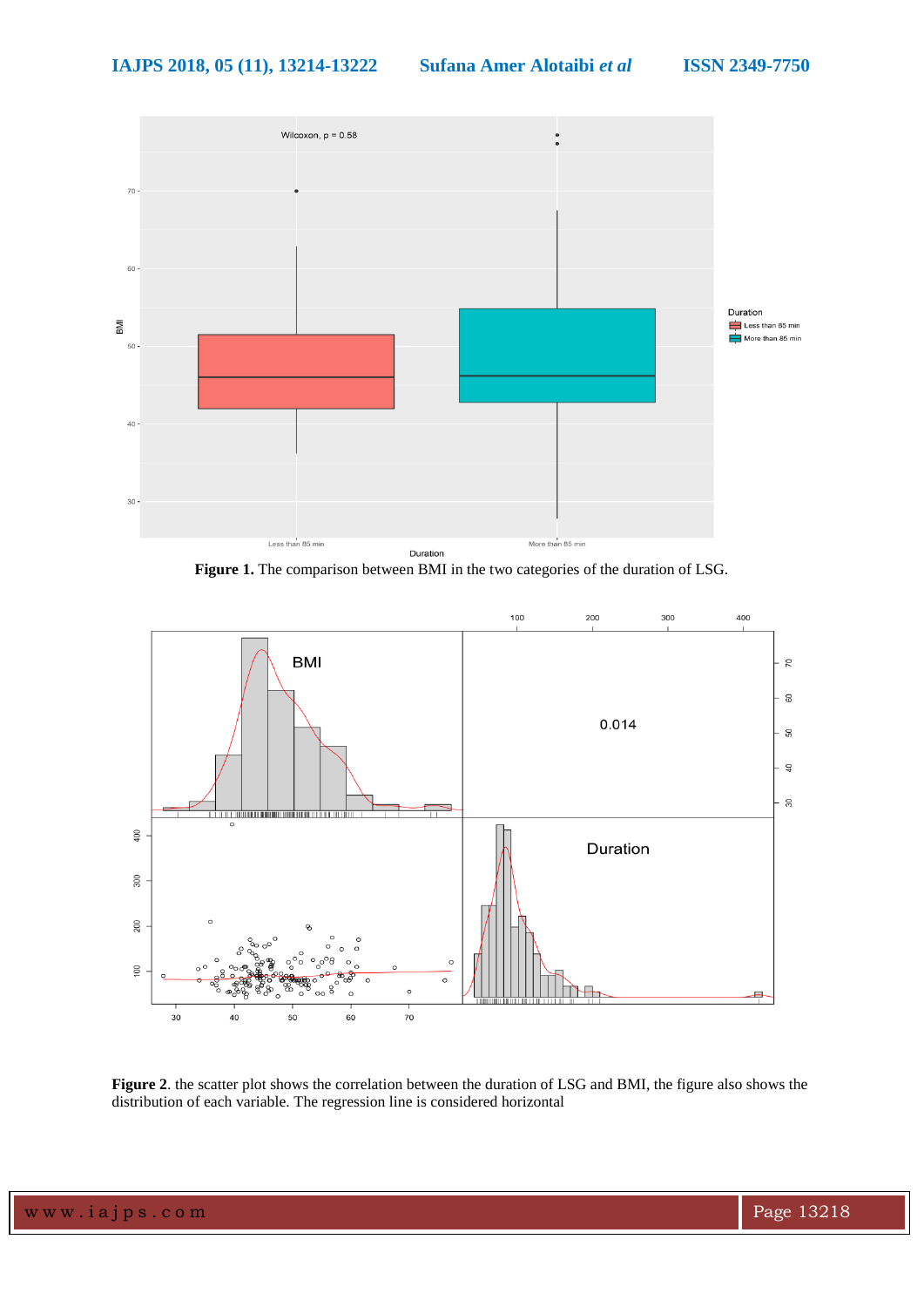

**Figure 1.** The comparison between BMI in the two categories of the duration of LSG.



**Figure 2**. the scatter plot shows the correlation between the duration of LSG and BMI, the figure also shows the distribution of each variable. The regression line is considered horizontal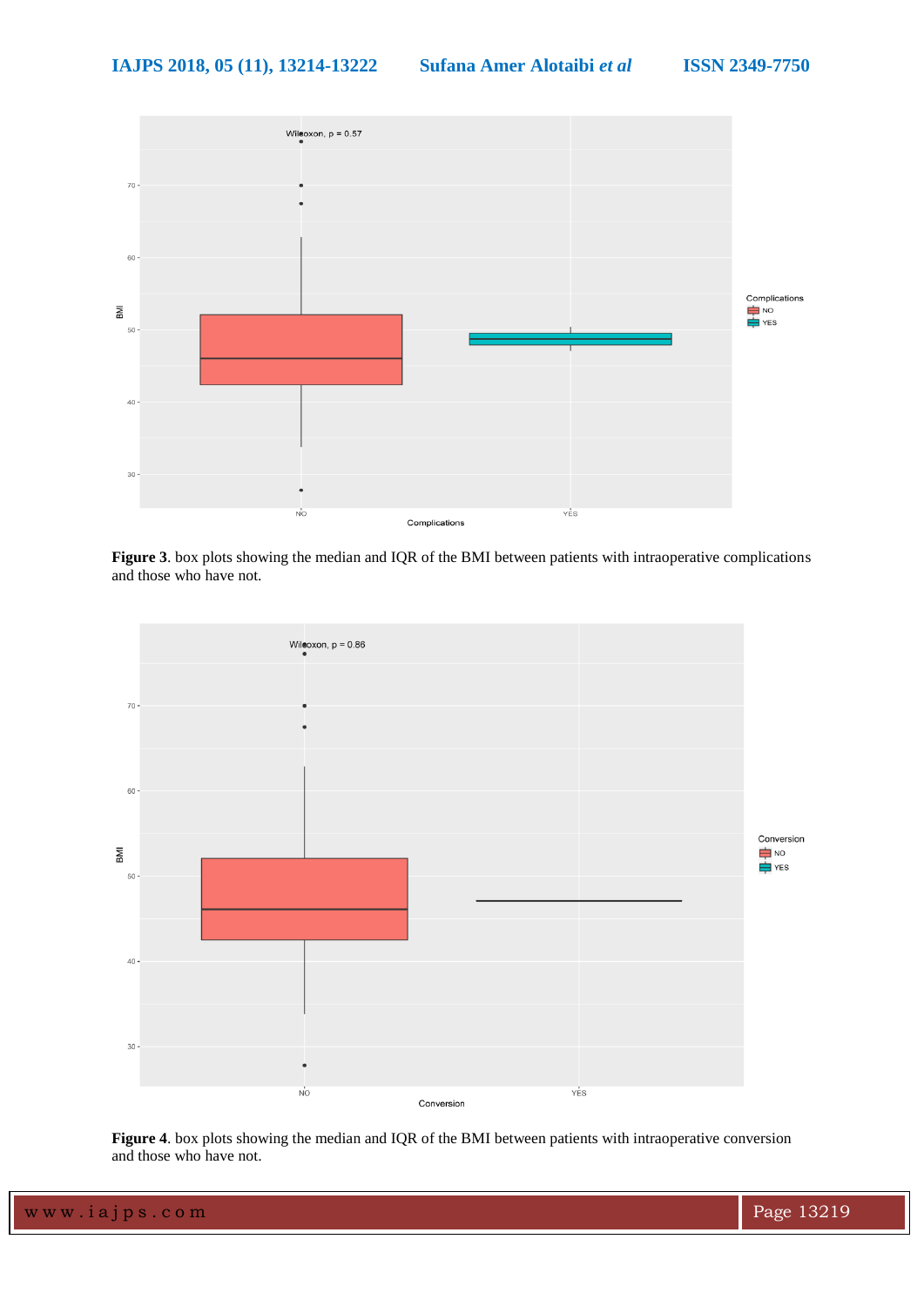

**Figure 3**. box plots showing the median and IQR of the BMI between patients with intraoperative complications and those who have not.



**Figure 4**. box plots showing the median and IQR of the BMI between patients with intraoperative conversion and those who have not.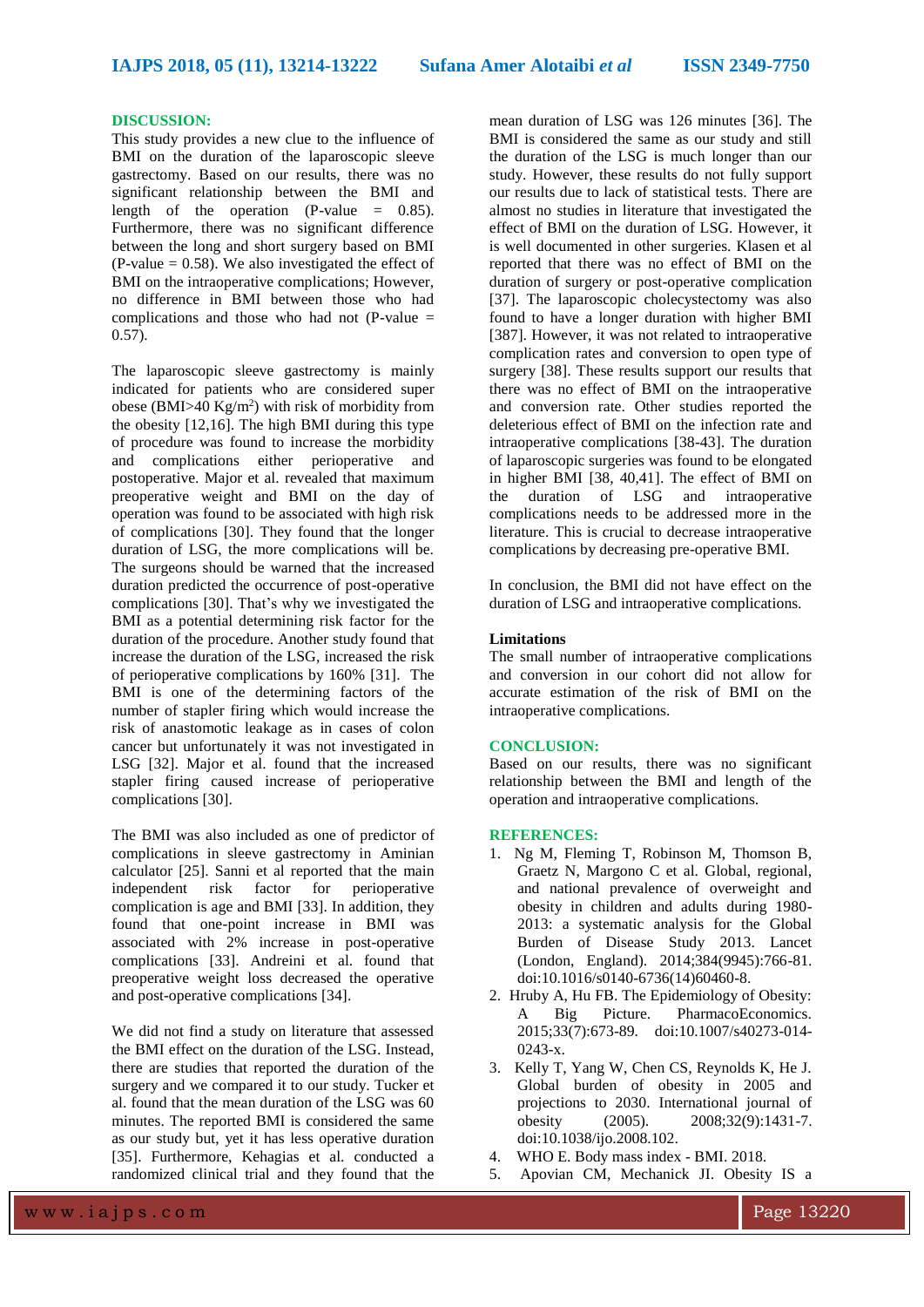#### **DISCUSSION:**

This study provides a new clue to the influence of BMI on the duration of the laparoscopic sleeve gastrectomy. Based on our results, there was no significant relationship between the BMI and length of the operation (P-value = 0.85). Furthermore, there was no significant difference between the long and short surgery based on BMI (P-value  $= 0.58$ ). We also investigated the effect of BMI on the intraoperative complications; However, no difference in BMI between those who had complications and those who had not  $(P-value =$ 0.57).

The laparoscopic sleeve gastrectomy is mainly indicated for patients who are considered super obese (BMI $>40$  Kg/m<sup>2</sup>) with risk of morbidity from the obesity [12,16]. The high BMI during this type of procedure was found to increase the morbidity and complications either perioperative and postoperative. Major et al. revealed that maximum preoperative weight and BMI on the day of operation was found to be associated with high risk of complications [30]. They found that the longer duration of LSG, the more complications will be. The surgeons should be warned that the increased duration predicted the occurrence of post-operative complications [30]. That's why we investigated the BMI as a potential determining risk factor for the duration of the procedure. Another study found that increase the duration of the LSG, increased the risk of perioperative complications by 160% [31]. The BMI is one of the determining factors of the number of stapler firing which would increase the risk of anastomotic leakage as in cases of colon cancer but unfortunately it was not investigated in LSG [32]. Major et al. found that the increased stapler firing caused increase of perioperative complications [30].

The BMI was also included as one of predictor of complications in sleeve gastrectomy in Aminian calculator [25]. Sanni et al reported that the main independent risk factor for perioperative complication is age and BMI [33]. In addition, they found that one-point increase in BMI was associated with 2% increase in post-operative complications [33]. Andreini et al. found that preoperative weight loss decreased the operative and post-operative complications [34].

We did not find a study on literature that assessed the BMI effect on the duration of the LSG. Instead, there are studies that reported the duration of the surgery and we compared it to our study. Tucker et al. found that the mean duration of the LSG was 60 minutes. The reported BMI is considered the same as our study but, yet it has less operative duration [35]. Furthermore, Kehagias et al. conducted a randomized clinical trial and they found that the

mean duration of LSG was 126 minutes [36]. The BMI is considered the same as our study and still the duration of the LSG is much longer than our study. However, these results do not fully support our results due to lack of statistical tests. There are almost no studies in literature that investigated the effect of BMI on the duration of LSG. However, it is well documented in other surgeries. Klasen et al reported that there was no effect of BMI on the duration of surgery or post-operative complication [37]. The laparoscopic cholecystectomy was also found to have a longer duration with higher BMI [387]. However, it was not related to intraoperative complication rates and conversion to open type of surgery [38]. These results support our results that there was no effect of BMI on the intraoperative and conversion rate. Other studies reported the deleterious effect of BMI on the infection rate and intraoperative complications [38-43]. The duration of laparoscopic surgeries was found to be elongated in higher BMI [38, 40,41]. The effect of BMI on the duration of LSG and intraoperative complications needs to be addressed more in the literature. This is crucial to decrease intraoperative complications by decreasing pre-operative BMI.

In conclusion, the BMI did not have effect on the duration of LSG and intraoperative complications.

#### **Limitations**

The small number of intraoperative complications and conversion in our cohort did not allow for accurate estimation of the risk of BMI on the intraoperative complications.

## **CONCLUSION:**

Based on our results, there was no significant relationship between the BMI and length of the operation and intraoperative complications.

#### **REFERENCES:**

- 1. Ng M, Fleming T, Robinson M, Thomson B, Graetz N, Margono C et al. Global, regional, and national prevalence of overweight and obesity in children and adults during 1980- 2013: a systematic analysis for the Global Burden of Disease Study 2013. Lancet (London, England). 2014;384(9945):766-81. doi:10.1016/s0140-6736(14)60460-8.
- 2. Hruby A, Hu FB. The Epidemiology of Obesity: A Big Picture. PharmacoEconomics. 2015;33(7):673-89. doi:10.1007/s40273-014- 0243-x.
- 3. Kelly T, Yang W, Chen CS, Reynolds K, He J. Global burden of obesity in 2005 and projections to 2030. International journal of obesity (2005). 2008;32(9):1431-7. doi:10.1038/ijo.2008.102.
- 4. WHO E. Body mass index BMI. 2018.
- 5. Apovian CM, Mechanick JI. Obesity IS a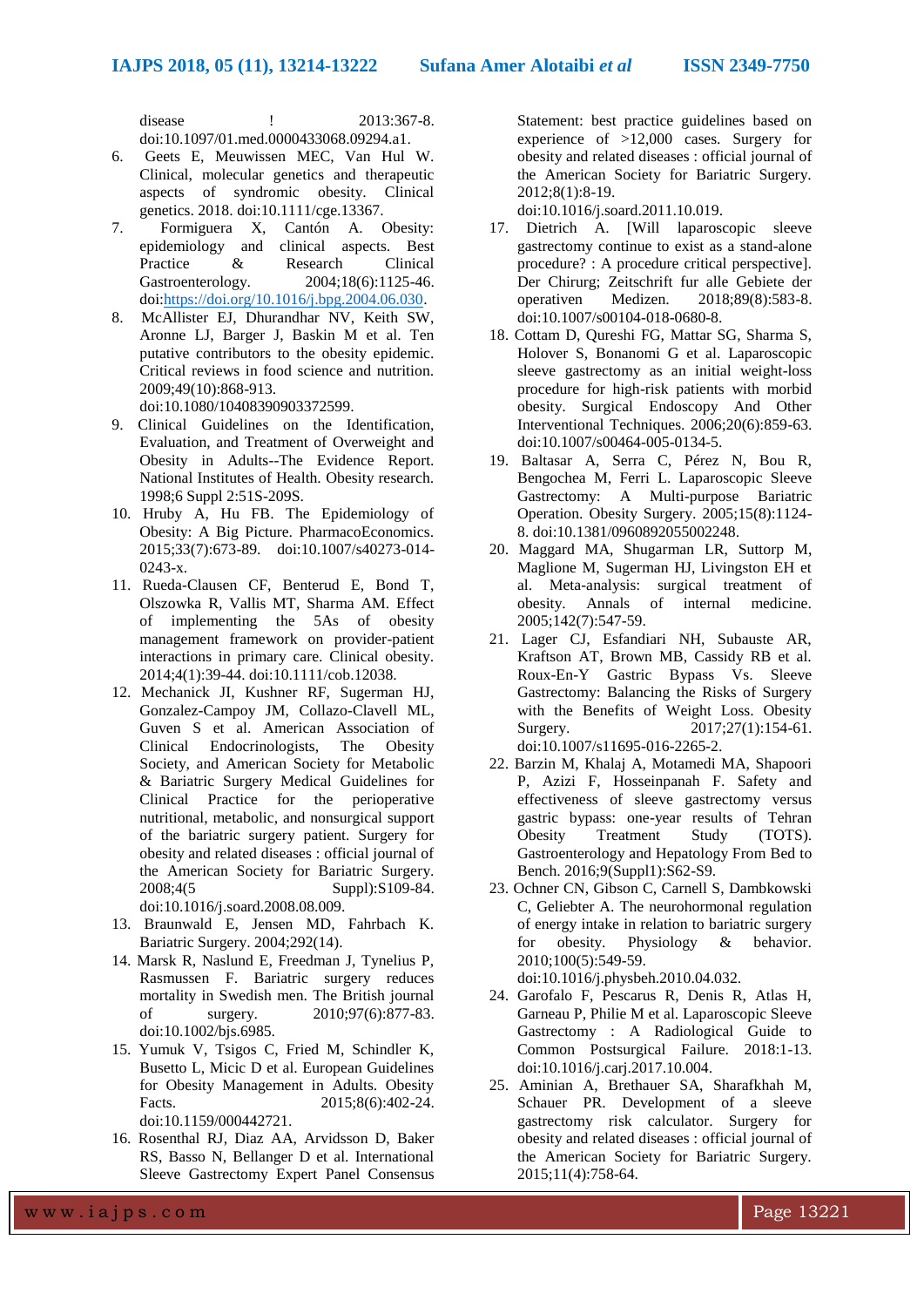disease ! 2013:367-8. doi:10.1097/01.med.0000433068.09294.a1.

- 6. Geets E, Meuwissen MEC, Van Hul W. Clinical, molecular genetics and therapeutic aspects of syndromic obesity. Clinical genetics. 2018. doi:10.1111/cge.13367.
- 7. Formiguera X, Cantón A. Obesity: epidemiology and clinical aspects. Best Practice & Research Clinical Gastroenterology. 2004;18(6):1125-46. doi[:https://doi.org/10.1016/j.bpg.2004.06.030.](https://doi.org/10.1016/j.bpg.2004.06.030)
- 8. McAllister EJ, Dhurandhar NV, Keith SW, Aronne LJ, Barger J, Baskin M et al. Ten putative contributors to the obesity epidemic. Critical reviews in food science and nutrition. 2009;49(10):868-913.

doi:10.1080/10408390903372599.

- 9. Clinical Guidelines on the Identification, Evaluation, and Treatment of Overweight and Obesity in Adults--The Evidence Report. National Institutes of Health. Obesity research. 1998;6 Suppl 2:51S-209S.
- 10. Hruby A, Hu FB. The Epidemiology of Obesity: A Big Picture. PharmacoEconomics. 2015;33(7):673-89. doi:10.1007/s40273-014- 0243-x.
- 11. Rueda-Clausen CF, Benterud E, Bond T, Olszowka R, Vallis MT, Sharma AM. Effect of implementing the 5As of obesity management framework on provider-patient interactions in primary care. Clinical obesity. 2014;4(1):39-44. doi:10.1111/cob.12038.
- 12. Mechanick JI, Kushner RF, Sugerman HJ, Gonzalez-Campoy JM, Collazo-Clavell ML, Guven S et al. American Association of Clinical Endocrinologists, The Obesity Society, and American Society for Metabolic & Bariatric Surgery Medical Guidelines for Clinical Practice for the perioperative nutritional, metabolic, and nonsurgical support of the bariatric surgery patient. Surgery for obesity and related diseases : official journal of the American Society for Bariatric Surgery. 2008;4(5 Suppl):S109-84. doi:10.1016/j.soard.2008.08.009.
- 13. Braunwald E, Jensen MD, Fahrbach K. Bariatric Surgery. 2004;292(14).
- 14. Marsk R, Naslund E, Freedman J, Tynelius P, Rasmussen F. Bariatric surgery reduces mortality in Swedish men. The British journal of surgery. 2010;97(6):877-83. doi:10.1002/bjs.6985.
- 15. Yumuk V, Tsigos C, Fried M, Schindler K, Busetto L, Micic D et al. European Guidelines for Obesity Management in Adults. Obesity Facts. 2015;8(6):402-24. doi:10.1159/000442721.
- 16. Rosenthal RJ, Diaz AA, Arvidsson D, Baker RS, Basso N, Bellanger D et al. International Sleeve Gastrectomy Expert Panel Consensus

Statement: best practice guidelines based on experience of >12,000 cases. Surgery for obesity and related diseases : official journal of the American Society for Bariatric Surgery. 2012;8(1):8-19.

doi:10.1016/j.soard.2011.10.019.

- 17. Dietrich A. [Will laparoscopic sleeve gastrectomy continue to exist as a stand-alone procedure? : A procedure critical perspective]. Der Chirurg; Zeitschrift fur alle Gebiete der operativen Medizen. 2018;89(8):583-8. doi:10.1007/s00104-018-0680-8.
- 18. Cottam D, Qureshi FG, Mattar SG, Sharma S, Holover S, Bonanomi G et al. Laparoscopic sleeve gastrectomy as an initial weight-loss procedure for high-risk patients with morbid obesity. Surgical Endoscopy And Other Interventional Techniques. 2006;20(6):859-63. doi:10.1007/s00464-005-0134-5.
- 19. Baltasar A, Serra C, Pérez N, Bou R, Bengochea M, Ferri L. Laparoscopic Sleeve Gastrectomy: A Multi-purpose Bariatric Operation. Obesity Surgery. 2005;15(8):1124- 8. doi:10.1381/0960892055002248.
- 20. Maggard MA, Shugarman LR, Suttorp M, Maglione M, Sugerman HJ, Livingston EH et al. Meta-analysis: surgical treatment of obesity. Annals of internal medicine. 2005;142(7):547-59.
- 21. Lager CJ, Esfandiari NH, Subauste AR, Kraftson AT, Brown MB, Cassidy RB et al. Roux-En-Y Gastric Bypass Vs. Sleeve Gastrectomy: Balancing the Risks of Surgery with the Benefits of Weight Loss. Obesity Surgery. 2017:27(1):154-61. doi:10.1007/s11695-016-2265-2.
- 22. Barzin M, Khalaj A, Motamedi MA, Shapoori P, Azizi F, Hosseinpanah F. Safety and effectiveness of sleeve gastrectomy versus gastric bypass: one-year results of Tehran Obesity Treatment Study (TOTS). Gastroenterology and Hepatology From Bed to Bench. 2016;9(Suppl1):S62-S9.
- 23. Ochner CN, Gibson C, Carnell S, Dambkowski C, Geliebter A. The neurohormonal regulation of energy intake in relation to bariatric surgery for obesity. Physiology & behavior. 2010;100(5):549-59. doi:10.1016/j.physbeh.2010.04.032.
- 24. Garofalo F, Pescarus R, Denis R, Atlas H, Garneau P, Philie M et al. Laparoscopic Sleeve Gastrectomy : A Radiological Guide to Common Postsurgical Failure. 2018:1-13. doi:10.1016/j.carj.2017.10.004.
- 25. Aminian A, Brethauer SA, Sharafkhah M, Schauer PR. Development of a sleeve gastrectomy risk calculator. Surgery for obesity and related diseases : official journal of the American Society for Bariatric Surgery. 2015;11(4):758-64.